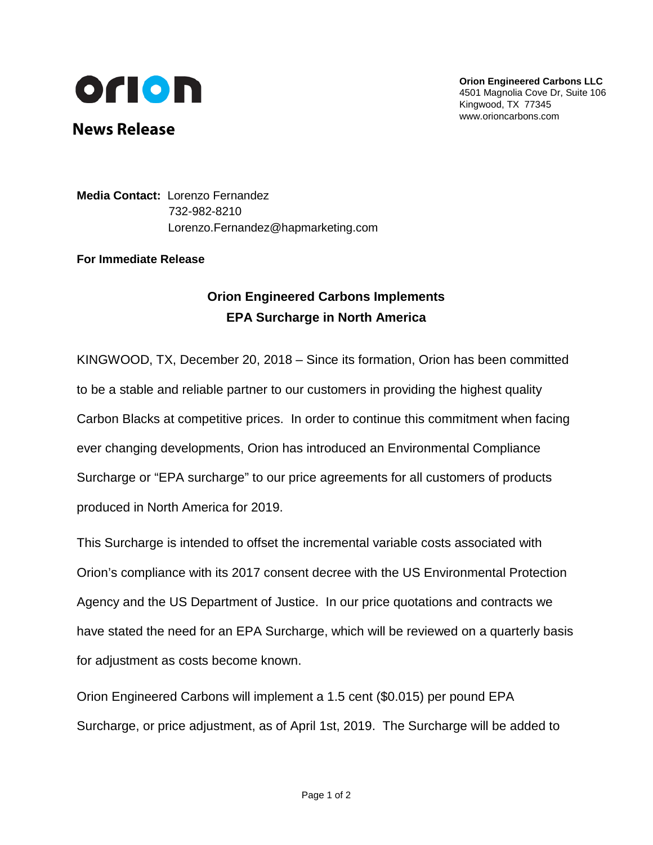

**Orion Engineered Carbons LLC** 4501 Magnolia Cove Dr, Suite 106 Kingwood, TX 77345 www.orioncarbons.com

**News Release**

**Media Contact:** Lorenzo Fernandez 732-982-8210 Lorenzo.Fernandez@hapmarketing.com

**For Immediate Release**

## **Orion Engineered Carbons Implements EPA Surcharge in North America**

KINGWOOD, TX, December 20, 2018 – Since its formation, Orion has been committed to be a stable and reliable partner to our customers in providing the highest quality Carbon Blacks at competitive prices. In order to continue this commitment when facing ever changing developments, Orion has introduced an Environmental Compliance Surcharge or "EPA surcharge" to our price agreements for all customers of products produced in North America for 2019.

This Surcharge is intended to offset the incremental variable costs associated with Orion's compliance with its 2017 consent decree with the US Environmental Protection Agency and the US Department of Justice. In our price quotations and contracts we have stated the need for an EPA Surcharge, which will be reviewed on a quarterly basis for adjustment as costs become known.

Orion Engineered Carbons will implement a 1.5 cent (\$0.015) per pound EPA Surcharge, or price adjustment, as of April 1st, 2019. The Surcharge will be added to